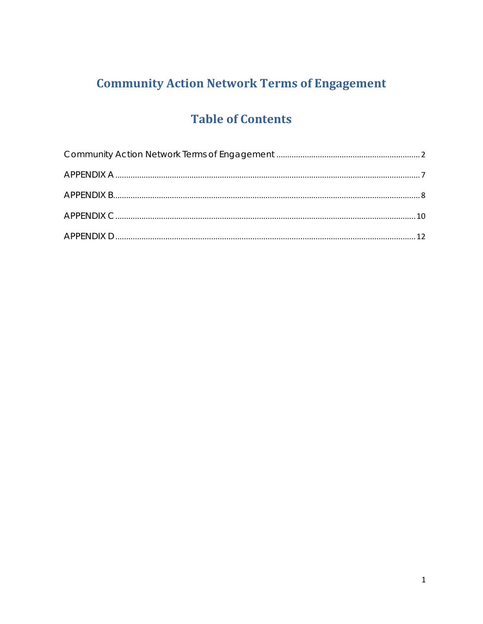# **Community Action Network Terms of Engagement**

# **Table of Contents**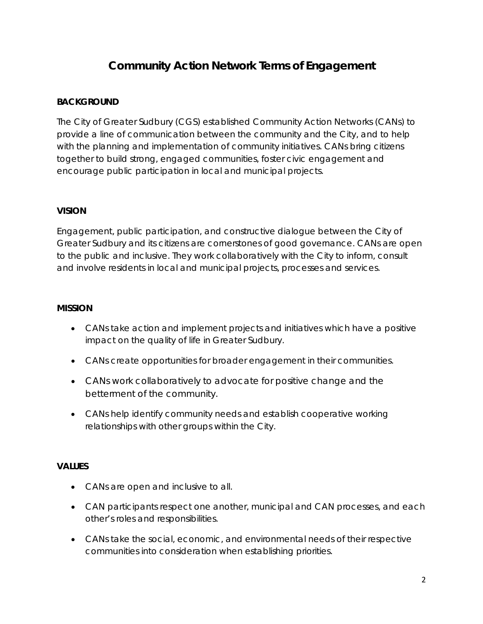# **Community Action Network Terms of Engagement**

#### <span id="page-1-0"></span>**BACKGROUND**

The City of Greater Sudbury (CGS) established Community Action Networks (CANs) to provide a line of communication between the community and the City, and to help with the planning and implementation of community initiatives. CANs bring citizens together to build strong, engaged communities, foster civic engagement and encourage public participation in local and municipal projects.

#### **VISION**

Engagement, public participation, and constructive dialogue between the City of Greater Sudbury and its citizens are cornerstones of good governance. CANs are open to the public and inclusive. They work collaboratively with the City to inform, consult and involve residents in local and municipal projects, processes and services.

#### **MISSION**

- CANs take action and implement projects and initiatives which have a positive impact on the quality of life in Greater Sudbury.
- CANs create opportunities for broader engagement in their communities.
- CANs work collaboratively to advocate for positive change and the betterment of the community.
- CANs help identify community needs and establish cooperative working relationships with other groups within the City.

#### **VALUES**

- CANs are open and inclusive to all.
- CAN participants respect one another, municipal and CAN processes, and each other's roles and responsibilities.
- CANs take the social, economic, and environmental needs of their respective communities into consideration when establishing priorities.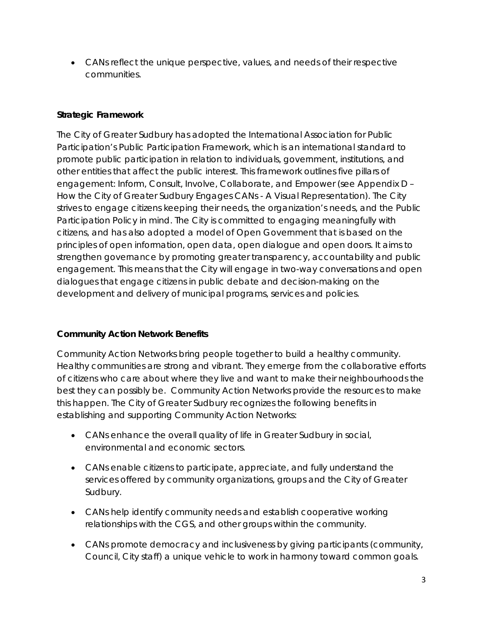• CANs reflect the unique perspective, values, and needs of their respective communities.

### **Strategic Framework**

The City of Greater Sudbury has adopted the International Association for Public Participation's Public Participation Framework, which is an international standard to promote public participation in relation to individuals, government, institutions, and other entities that affect the public interest. This framework outlines five pillars of engagement: Inform, Consult, Involve, Collaborate, and Empower (see Appendix D – How the City of Greater Sudbury Engages CANs - A Visual Representation). The City strives to engage citizens keeping their needs, the organization's needs, and the Public Participation Policy in mind. The City is committed to engaging meaningfully with citizens, and has also adopted a model of Open Government that is based on the principles of open information, open data, open dialogue and open doors. It aims to strengthen governance by promoting greater transparency, accountability and public engagement. This means that the City will engage in two-way conversations and open dialogues that engage citizens in public debate and decision-making on the development and delivery of municipal programs, services and policies.

### **Community Action Network Benefits**

Community Action Networks bring people together to build a healthy community. Healthy communities are strong and vibrant. They emerge from the collaborative efforts of citizens who care about where they live and want to make their neighbourhoods the best they can possibly be. Community Action Networks provide the resources to make this happen. The City of Greater Sudbury recognizes the following benefits in establishing and supporting Community Action Networks:

- CANs enhance the overall quality of life in Greater Sudbury in social, environmental and economic sectors.
- CANs enable citizens to participate, appreciate, and fully understand the services offered by community organizations, groups and the City of Greater Sudbury.
- CANs help identify community needs and establish cooperative working relationships with the CGS, and other groups within the community.
- CANs promote democracy and inclusiveness by giving participants (community, Council, City staff) a unique vehicle to work in harmony toward common goals.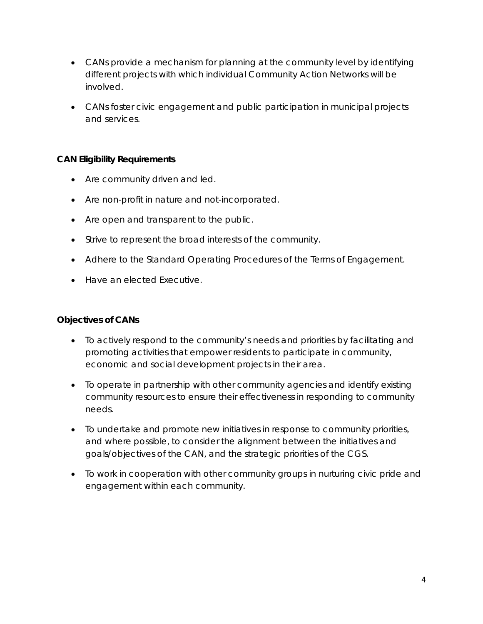- CANs provide a mechanism for planning at the community level by identifying different projects with which individual Community Action Networks will be involved.
- CANs foster civic engagement and public participation in municipal projects and services.

#### **CAN Eligibility Requirements**

- Are community driven and led.
- Are non-profit in nature and not-incorporated.
- Are open and transparent to the public.
- Strive to represent the broad interests of the community.
- Adhere to the Standard Operating Procedures of the Terms of Engagement.
- Have an elected Executive.

#### **Objectives of CANs**

- To actively respond to the community's needs and priorities by facilitating and promoting activities that empower residents to participate in community, economic and social development projects in their area.
- To operate in partnership with other community agencies and identify existing community resources to ensure their effectiveness in responding to community needs.
- To undertake and promote new initiatives in response to community priorities, and where possible, to consider the alignment between the initiatives and goals/objectives of the CAN, and the strategic priorities of the CGS.
- To work in cooperation with other community groups in nurturing civic pride and engagement within each community.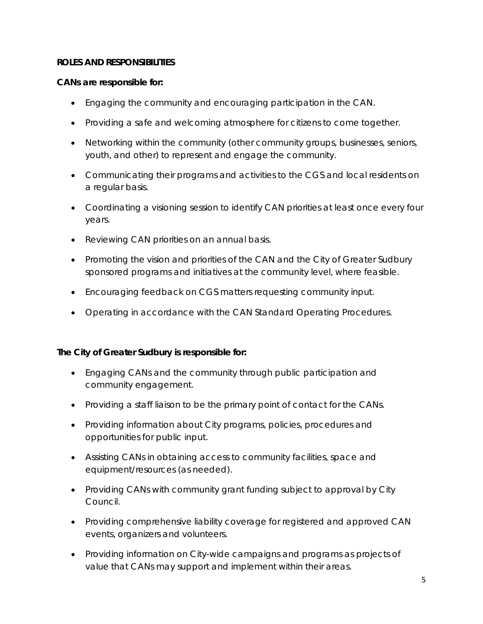#### **ROLES AND RESPONSIBILITIES**

#### *CANs are responsible for:*

- Engaging the community and encouraging participation in the CAN.
- Providing a safe and welcoming atmosphere for citizens to come together.
- Networking within the community (other community groups, businesses, seniors, youth, and other) to represent and engage the community.
- Communicating their programs and activities to the CGS and local residents on a regular basis.
- Coordinating a visioning session to identify CAN priorities at least once every four years.
- Reviewing CAN priorities on an annual basis.
- Promoting the vision and priorities of the CAN and the City of Greater Sudbury sponsored programs and initiatives at the community level, where feasible.
- Encouraging feedback on CGS matters requesting community input.
- Operating in accordance with the CAN Standard Operating Procedures.

#### *The City of Greater Sudbury is responsible for:*

- Engaging CANs and the community through public participation and community engagement.
- Providing a staff liaison to be the primary point of contact for the CANs.
- Providing information about City programs, policies, procedures and opportunities for public input.
- Assisting CANs in obtaining access to community facilities, space and equipment/resources (as needed).
- Providing CANs with community grant funding subject to approval by City Council.
- Providing comprehensive liability coverage for registered and approved CAN events, organizers and volunteers.
- Providing information on City-wide campaigns and programs as projects of value that CANs may support and implement within their areas.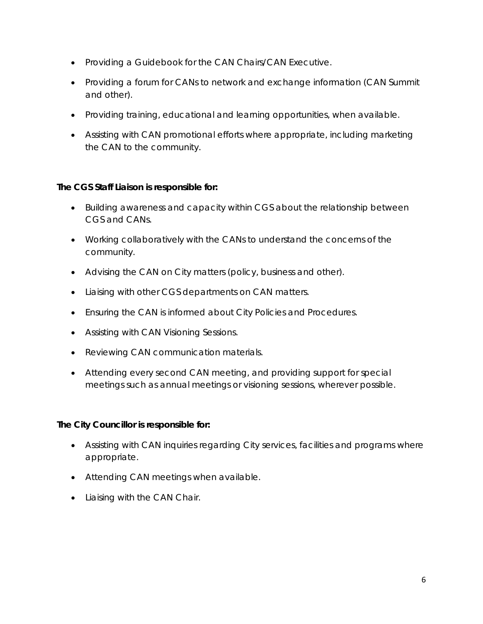- Providing a Guidebook for the CAN Chairs/CAN Executive.
- Providing a forum for CANs to network and exchange information (CAN Summit and other).
- Providing training, educational and learning opportunities, when available.
- Assisting with CAN promotional efforts where appropriate, including marketing the CAN to the community.

### *The CGS Staff Liaison is responsible for:*

- Building awareness and capacity within CGS about the relationship between CGS and CANs.
- Working collaboratively with the CANs to understand the concerns of the community.
- Advising the CAN on City matters (policy, business and other).
- Liaising with other CGS departments on CAN matters.
- Ensuring the CAN is informed about City Policies and Procedures.
- Assisting with CAN Visioning Sessions.
- Reviewing CAN communication materials.
- Attending every second CAN meeting, and providing support for special meetings such as annual meetings or visioning sessions, wherever possible.

### *The City Councillor is responsible for:*

- Assisting with CAN inquiries regarding City services, facilities and programs where appropriate.
- Attending CAN meetings when available.
- Liaising with the CAN Chair.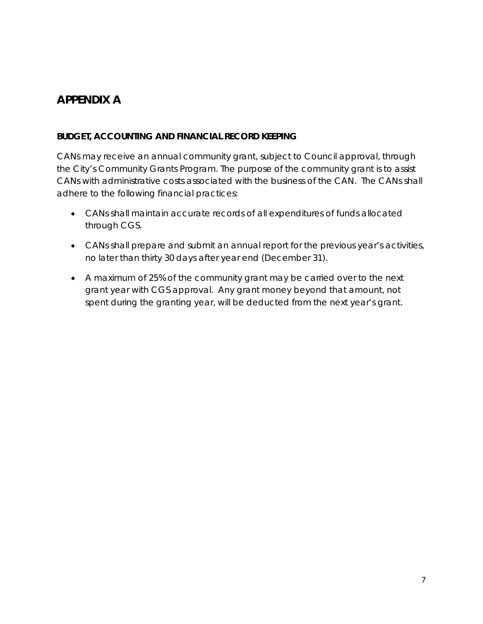## <span id="page-6-0"></span>*APPENDIX A*

#### **BUDGET, ACCOUNTING AND FINANCIAL RECORD KEEPING**

CANs may receive an annual community grant, subject to Council approval, through the City's Community Grants Program. The purpose of the community grant is to assist CANs with administrative costs associated with the business of the CAN. The CANs shall adhere to the following financial practices:

- CANs shall maintain accurate records of all expenditures of funds allocated through CGS.
- CANs shall prepare and submit an annual report for the previous year's activities, no later than thirty 30 days after year end (December 31).
- A maximum of 25% of the community grant may be carried over to the next grant year with CGS approval. Any grant money beyond that amount, not spent during the granting year, will be deducted from the next year's grant.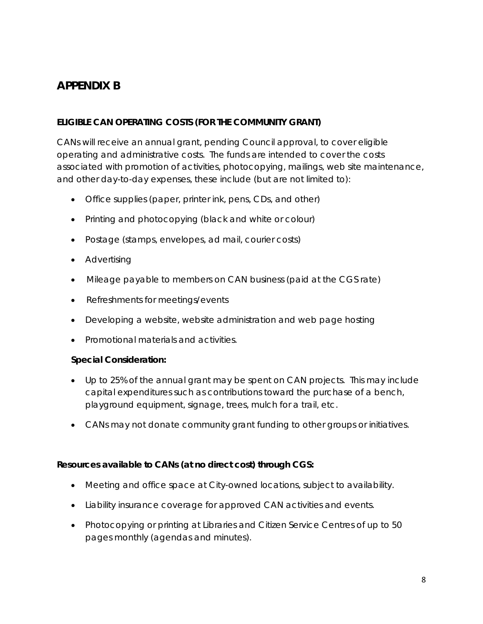## <span id="page-7-0"></span>*APPENDIX B*

### **ELIGIBLE CAN OPERATING COSTS (FOR THE COMMUNITY GRANT)**

CANs will receive an annual grant, pending Council approval, to cover eligible operating and administrative costs. The funds are intended to cover the costs associated with promotion of activities, photocopying, mailings, web site maintenance, and other day-to-day expenses, these include (but are not limited to):

- Office supplies (paper, printer ink, pens, CDs, and other)
- Printing and photocopying (black and white or colour)
- Postage (stamps, envelopes, ad mail, courier costs)
- Advertising
- Mileage payable to members on CAN business (paid at the CGS rate)
- Refreshments for meetings/events
- Developing a website, website administration and web page hosting
- Promotional materials and activities.

#### **Special Consideration:**

- Up to 25% of the annual grant may be spent on CAN projects. This may include capital expenditures such as contributions toward the purchase of a bench, playground equipment, signage, trees, mulch for a trail, etc.
- CANs may not donate community grant funding to other groups or initiatives.

#### **Resources available to CANs (at no direct cost) through CGS:**

- Meeting and office space at City-owned locations, subject to availability.
- Liability insurance coverage for approved CAN activities and events.
- Photocopying or printing at Libraries and Citizen Service Centres of up to 50 pages monthly (agendas and minutes).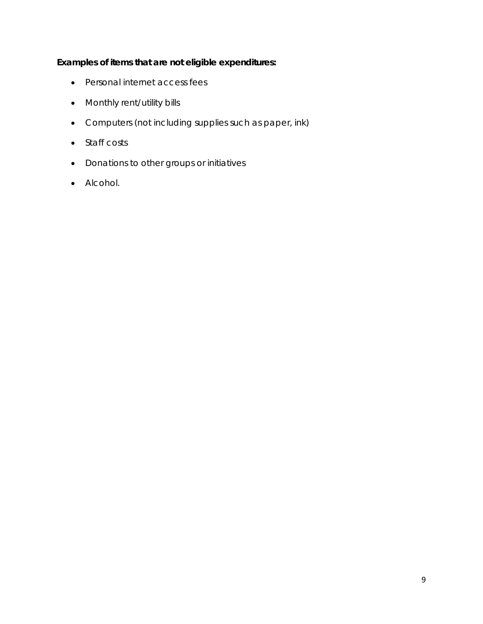### **Examples of items that are not eligible expenditures:**

- Personal internet access fees
- Monthly rent/utility bills
- Computers (not including supplies such as paper, ink)
- Staff costs
- Donations to other groups or initiatives
- Alcohol.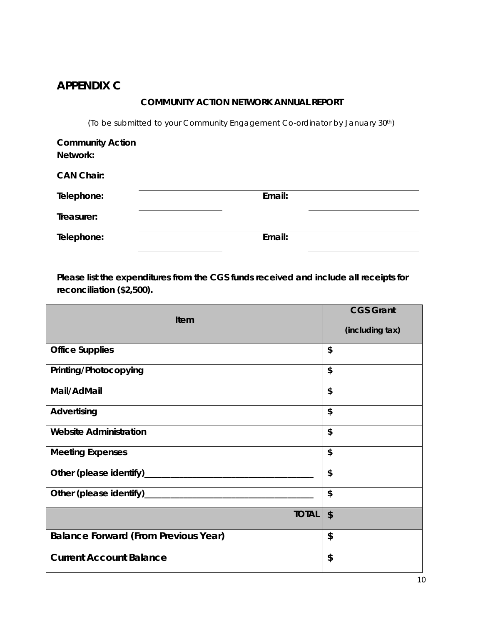## <span id="page-9-0"></span>*APPENDIX C*

#### **COMMUNITY ACTION NETWORK ANNUAL REPORT**

(To be submitted to your Community Engagement Co-ordinator by January 30th)

| <b>Community Action</b> |        |
|-------------------------|--------|
| Network:                |        |
| <b>CAN Chair:</b>       |        |
| Telephone:              | Email: |
| Treasurer:              |        |
| Telephone:              | Email: |

**Please list the expenditures from the CGS funds received and include all receipts for reconciliation (\$2,500).**

| <b>Item</b>                                 | <b>CGS Grant</b> |
|---------------------------------------------|------------------|
|                                             | (including tax)  |
| <b>Office Supplies</b>                      | \$               |
| Printing/Photocopying                       | \$               |
| Mail/AdMail                                 | \$               |
| Advertising                                 | \$               |
| <b>Website Administration</b>               | \$               |
| <b>Meeting Expenses</b>                     | \$               |
| Other (please identify)_                    | \$               |
| Other (please identify)_                    | \$               |
| <b>TOTAL</b>                                | \$               |
| <b>Balance Forward (From Previous Year)</b> | \$               |
| <b>Current Account Balance</b>              | \$               |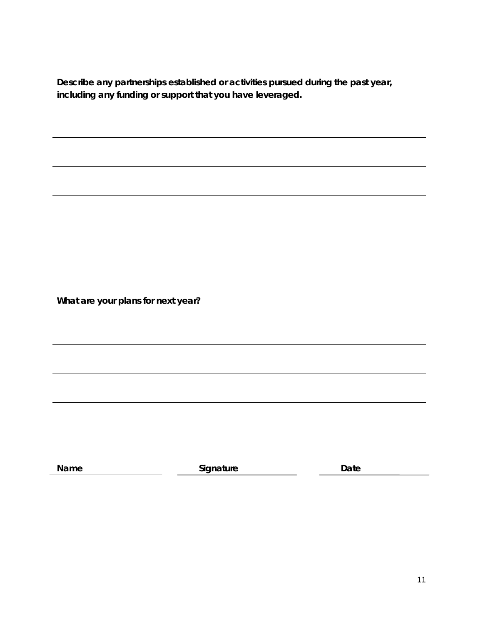**Describe any partnerships established or activities pursued during the past year, including any funding or support that you have leveraged.**

**What are your plans for next year?**

**Name Construction Construction Construction Construction Construction Construction Construction Construction Construction Construction Construction Construction Construction Construction Construction Construction Constr**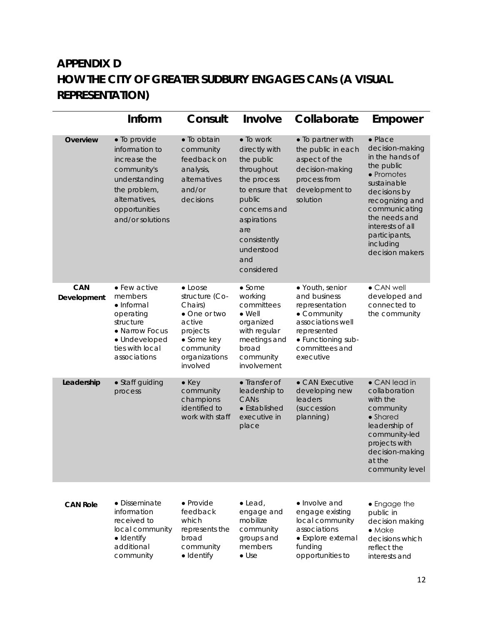# <span id="page-11-0"></span>*APPENDIX D* **HOW THE CITY OF GREATER SUDBURY ENGAGES CANs (A VISUAL REPRESENTATION)**

|                           | Inform                                                                                                                                               | Consult                                                                                                                                    | Involve                                                                                                                                                                                    | Collaborate                                                                                                                                               | Empower                                                                                                                                                                                                                                    |
|---------------------------|------------------------------------------------------------------------------------------------------------------------------------------------------|--------------------------------------------------------------------------------------------------------------------------------------------|--------------------------------------------------------------------------------------------------------------------------------------------------------------------------------------------|-----------------------------------------------------------------------------------------------------------------------------------------------------------|--------------------------------------------------------------------------------------------------------------------------------------------------------------------------------------------------------------------------------------------|
| Overview                  | • To provide<br>information to<br>increase the<br>community's<br>understanding<br>the problem,<br>alternatives,<br>opportunities<br>and/or solutions | · To obtain<br>community<br>feedback on<br>analysis,<br>alternatives<br>and/or<br>decisions                                                | • To work<br>directly with<br>the public<br>throughout<br>the process<br>to ensure that<br>public<br>concerns and<br>aspirations<br>are<br>consistently<br>understood<br>and<br>considered | • To partner with<br>the public in each<br>aspect of the<br>decision-making<br>process from<br>development to<br>solution                                 | $\bullet$ Place<br>decision-making<br>in the hands of<br>the public<br>• Promotes<br>sustainable<br>decisions by<br>recognizing and<br>communicating<br>the needs and<br>interests of all<br>participants,<br>including<br>decision makers |
| <b>CAN</b><br>Development | • Few active<br>members<br>$\bullet$ Informal<br>operating<br>structure<br>• Narrow Focus<br>· Undeveloped<br>ties with local<br>associations        | $\bullet$ Loose<br>structure (Co-<br>Chairs)<br>• One or two<br>active<br>projects<br>• Some key<br>community<br>organizations<br>involved | $\bullet$ Some<br>working<br>committees<br>$\bullet$ Well<br>organized<br>with regular<br>meetings and<br>broad<br>community<br>involvement                                                | • Youth, senior<br>and business<br>representation<br>• Community<br>associations well<br>represented<br>• Functioning sub-<br>committees and<br>executive | • CAN well<br>developed and<br>connected to<br>the community                                                                                                                                                                               |
| Leadership                | • Staff guiding<br>process                                                                                                                           | $\bullet$ Key<br>community<br>champions<br>identified to<br>work with staff                                                                | • Transfer of<br>leadership to<br>CANs<br>$\bullet$ Established<br>executive in<br>place                                                                                                   | • CAN Executive<br>developing new<br>leaders<br>(succession<br>planning)                                                                                  | • CAN lead in<br>collaboration<br>with the<br>community<br>• Shared<br>leadership of<br>community-led<br>projects with<br>decision-making<br>at the<br>community level                                                                     |
| <b>CAN Role</b>           | $\bullet$ Disseminate<br>information<br>received to<br>local community<br>· Identify<br>additional<br>community                                      | • Provide<br>feedback<br>which<br>represents the<br>broad<br>community<br>· Identify                                                       | $\bullet$ Lead,<br>engage and<br>mobilize<br>community<br>groups and<br>members<br>$\bullet$ Use                                                                                           | • Involve and<br>engage existing<br>local community<br>associations<br>• Explore external<br>funding<br>opportunities to                                  | • Engage the<br>public in<br>decision making<br>$\bullet$ Make<br>decisions which<br>reflect the<br>interests and                                                                                                                          |